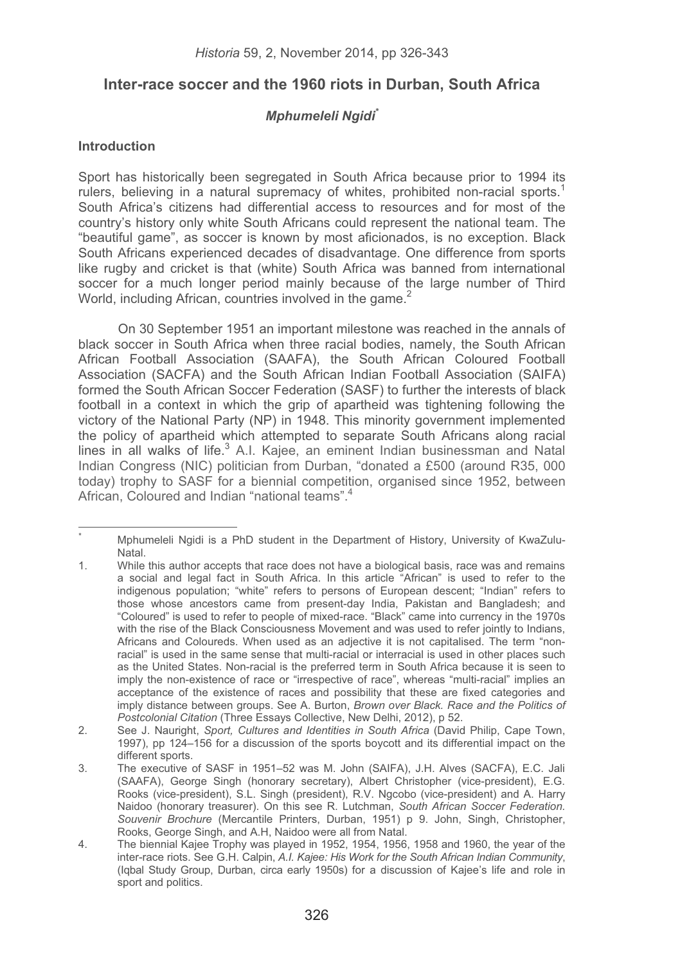# **Inter-race soccer and the 1960 riots in Durban, South Africa**

# *Mphumeleli Ngidi\**

# **Introduction**

-----------------------------------------------------------

Sport has historically been segregated in South Africa because prior to 1994 its rulers, believing in a natural supremacy of whites, prohibited non-racial sports.1 South Africa's citizens had differential access to resources and for most of the country's history only white South Africans could represent the national team. The "beautiful game", as soccer is known by most aficionados, is no exception. Black South Africans experienced decades of disadvantage. One difference from sports like rugby and cricket is that (white) South Africa was banned from international soccer for a much longer period mainly because of the large number of Third World, including African, countries involved in the game.<sup>2</sup>

On 30 September 1951 an important milestone was reached in the annals of black soccer in South Africa when three racial bodies, namely, the South African African Football Association (SAAFA), the South African Coloured Football Association (SACFA) and the South African Indian Football Association (SAIFA) formed the South African Soccer Federation (SASF) to further the interests of black football in a context in which the grip of apartheid was tightening following the victory of the National Party (NP) in 1948. This minority government implemented the policy of apartheid which attempted to separate South Africans along racial lines in all walks of life.<sup>3</sup> A.I. Kajee, an eminent Indian businessman and Natal Indian Congress (NIC) politician from Durban, "donated a £500 (around R35, 000 today) trophy to SASF for a biennial competition, organised since 1952, between African, Coloured and Indian "national teams".<sup>4</sup>

<sup>\*</sup> Mphumeleli Ngidi is a PhD student in the Department of History, University of KwaZulu-Natal.

<sup>1.</sup> While this author accepts that race does not have a biological basis, race was and remains a social and legal fact in South Africa. In this article "African" is used to refer to the indigenous population; "white" refers to persons of European descent; "Indian" refers to those whose ancestors came from present-day India, Pakistan and Bangladesh; and "Coloured" is used to refer to people of mixed-race. "Black" came into currency in the 1970s with the rise of the Black Consciousness Movement and was used to refer jointly to Indians, Africans and Coloureds. When used as an adjective it is not capitalised. The term "nonracial" is used in the same sense that multi-racial or interracial is used in other places such as the United States. Non-racial is the preferred term in South Africa because it is seen to imply the non-existence of race or "irrespective of race", whereas "multi-racial" implies an acceptance of the existence of races and possibility that these are fixed categories and imply distance between groups. See A. Burton, *Brown over Black. Race and the Politics of Postcolonial Citation* (Three Essays Collective, New Delhi, 2012), p 52.

<sup>2.</sup> See J. Nauright, *Sport, Cultures and Identities in South Africa* (David Philip, Cape Town, 1997), pp 124–156 for a discussion of the sports boycott and its differential impact on the different sports.

<sup>3.</sup> The executive of SASF in 1951–52 was M. John (SAIFA), J.H. Alves (SACFA), E.C. Jali (SAAFA), George Singh (honorary secretary), Albert Christopher (vice-president), E.G. Rooks (vice-president), S.L. Singh (president), R.V. Ngcobo (vice-president) and A. Harry Naidoo (honorary treasurer). On this see R. Lutchman, *South African Soccer Federation. Souvenir Brochure* (Mercantile Printers, Durban, 1951) p 9. John, Singh, Christopher, Rooks, George Singh, and A.H, Naidoo were all from Natal.

<sup>4.</sup> The biennial Kajee Trophy was played in 1952, 1954, 1956, 1958 and 1960, the year of the inter-race riots. See G.H. Calpin, *A.I. Kajee: His Work for the South African Indian Community*, (Iqbal Study Group, Durban, circa early 1950s) for a discussion of Kajee's life and role in sport and politics.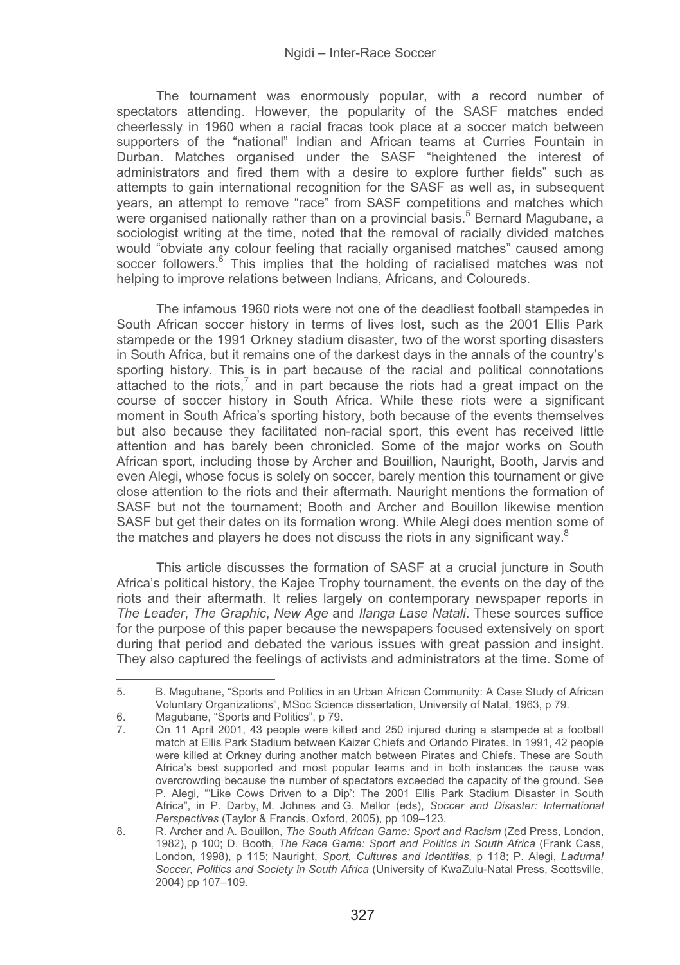The tournament was enormously popular, with a record number of spectators attending. However, the popularity of the SASF matches ended cheerlessly in 1960 when a racial fracas took place at a soccer match between supporters of the "national" Indian and African teams at Curries Fountain in Durban. Matches organised under the SASF "heightened the interest of administrators and fired them with a desire to explore further fields" such as attempts to gain international recognition for the SASF as well as, in subsequent years, an attempt to remove "race" from SASF competitions and matches which were organised nationally rather than on a provincial basis.<sup>5</sup> Bernard Magubane, a sociologist writing at the time, noted that the removal of racially divided matches would "obviate any colour feeling that racially organised matches" caused among soccer followers.<sup>6</sup> This implies that the holding of racialised matches was not helping to improve relations between Indians, Africans, and Coloureds.

The infamous 1960 riots were not one of the deadliest football stampedes in South African soccer history in terms of lives lost, such as the 2001 Ellis Park stampede or the 1991 Orkney stadium disaster, two of the worst sporting disasters in South Africa, but it remains one of the darkest days in the annals of the country's sporting history. This is in part because of the racial and political connotations attached to the riots, $7$  and in part because the riots had a great impact on the course of soccer history in South Africa. While these riots were a significant moment in South Africa's sporting history, both because of the events themselves but also because they facilitated non-racial sport, this event has received little attention and has barely been chronicled. Some of the major works on South African sport, including those by Archer and Bouillion, Nauright, Booth, Jarvis and even Alegi, whose focus is solely on soccer, barely mention this tournament or give close attention to the riots and their aftermath. Nauright mentions the formation of SASF but not the tournament; Booth and Archer and Bouillon likewise mention SASF but get their dates on its formation wrong. While Alegi does mention some of the matches and players he does not discuss the riots in any significant way. $8$ 

This article discusses the formation of SASF at a crucial juncture in South Africa's political history, the Kajee Trophy tournament, the events on the day of the riots and their aftermath. It relies largely on contemporary newspaper reports in *The Leader*, *The Graphic*, *New Age* and *Ilanga Lase Natali*. These sources suffice for the purpose of this paper because the newspapers focused extensively on sport during that period and debated the various issues with great passion and insight. They also captured the feelings of activists and administrators at the time. Some of

<sup>5.</sup> B. Magubane, "Sports and Politics in an Urban African Community: A Case Study of African Voluntary Organizations", MSoc Science dissertation, University of Natal, 1963, p 79.

<sup>6.</sup> Magubane, "Sports and Politics", p 79.

<sup>7.</sup> On 11 April 2001, 43 people were killed and 250 injured during a stampede at a football match at Ellis Park Stadium between Kaizer Chiefs and Orlando Pirates. In 1991, 42 people were killed at Orkney during another match between Pirates and Chiefs. These are South Africa's best supported and most popular teams and in both instances the cause was overcrowding because the number of spectators exceeded the capacity of the ground. See P. Alegi, "'Like Cows Driven to a Dip': The 2001 Ellis Park Stadium Disaster in South Africa", in P. Darby, M. Johnes and G. Mellor (eds), *Soccer and Disaster: International Perspectives* (Taylor & Francis, Oxford, 2005), pp 109–123.

<sup>8.</sup> R. Archer and A. Bouillon, *The South African Game: Sport and Racism* (Zed Press, London, 1982), p 100; D. Booth, *The Race Game: Sport and Politics in South Africa* (Frank Cass, London, 1998), p 115; Nauright, *Sport, Cultures and Identities,* p 118; P. Alegi, *Laduma! Soccer, Politics and Society in South Africa* (University of KwaZulu-Natal Press, Scottsville, 2004) pp 107–109.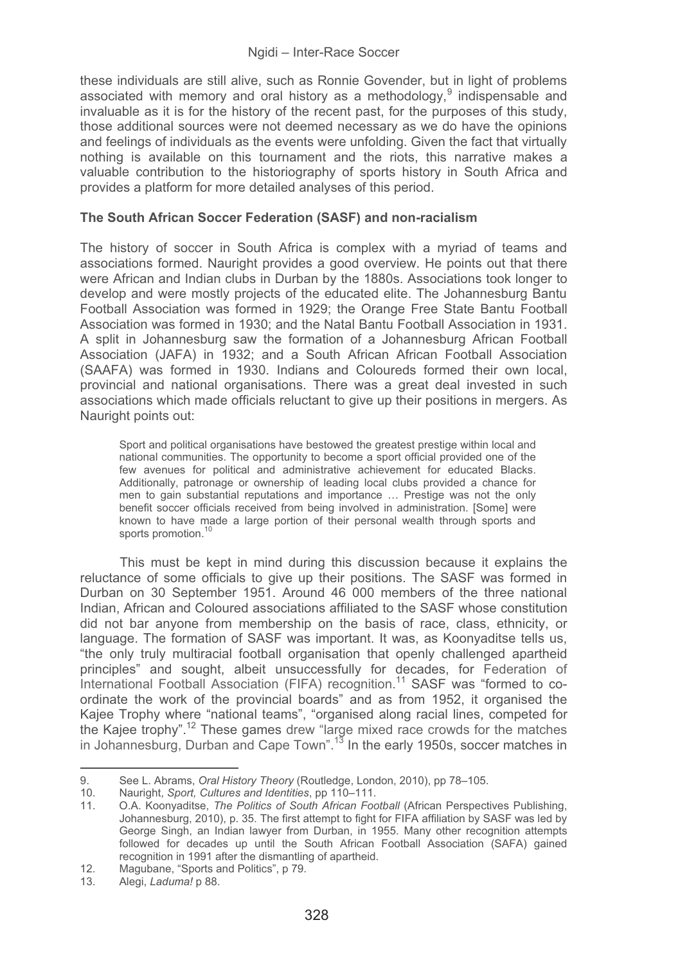these individuals are still alive, such as Ronnie Govender, but in light of problems associated with memory and oral history as a methodology,<sup>9</sup> indispensable and invaluable as it is for the history of the recent past, for the purposes of this study, those additional sources were not deemed necessary as we do have the opinions and feelings of individuals as the events were unfolding. Given the fact that virtually nothing is available on this tournament and the riots, this narrative makes a valuable contribution to the historiography of sports history in South Africa and provides a platform for more detailed analyses of this period.

# **The South African Soccer Federation (SASF) and non-racialism**

The history of soccer in South Africa is complex with a myriad of teams and associations formed. Nauright provides a good overview. He points out that there were African and Indian clubs in Durban by the 1880s. Associations took longer to develop and were mostly projects of the educated elite. The Johannesburg Bantu Football Association was formed in 1929; the Orange Free State Bantu Football Association was formed in 1930; and the Natal Bantu Football Association in 1931. A split in Johannesburg saw the formation of a Johannesburg African Football Association (JAFA) in 1932; and a South African African Football Association (SAAFA) was formed in 1930. Indians and Coloureds formed their own local, provincial and national organisations. There was a great deal invested in such associations which made officials reluctant to give up their positions in mergers. As Nauright points out:

Sport and political organisations have bestowed the greatest prestige within local and national communities. The opportunity to become a sport official provided one of the few avenues for political and administrative achievement for educated Blacks. Additionally, patronage or ownership of leading local clubs provided a chance for men to gain substantial reputations and importance … Prestige was not the only benefit soccer officials received from being involved in administration. [Some] were known to have made a large portion of their personal wealth through sports and sports promotion.<sup>10</sup>

This must be kept in mind during this discussion because it explains the reluctance of some officials to give up their positions. The SASF was formed in Durban on 30 September 1951. Around 46 000 members of the three national Indian, African and Coloured associations affiliated to the SASF whose constitution did not bar anyone from membership on the basis of race, class, ethnicity, or language. The formation of SASF was important. It was, as Koonyaditse tells us, "the only truly multiracial football organisation that openly challenged apartheid principles" and sought, albeit unsuccessfully for decades, for Federation of International Football Association (FIFA) recognition.<sup>11</sup> SASF was "formed to coordinate the work of the provincial boards" and as from 1952, it organised the Kajee Trophy where "national teams", "organised along racial lines, competed for the Kaiee trophy".<sup>12</sup> These games drew "large mixed race crowds for the matches in Johannesburg, Durban and Cape Town".<sup>13</sup> In the early 1950s, soccer matches in

-

<sup>9.</sup> See L. Abrams, *Oral History Theory* (Routledge, London, 2010), pp 78–105.

<sup>-</sup>----10. Nauright, *Sport, Cultures and Identities*, pp 110–111.

<sup>11.</sup> O.A. Koonyaditse, *The Politics of South African Football* (African Perspectives Publishing, Johannesburg, 2010), p. 35. The first attempt to fight for FIFA affiliation by SASF was led by George Singh, an Indian lawyer from Durban, in 1955. Many other recognition attempts followed for decades up until the South African Football Association (SAFA) gained recognition in 1991 after the dismantling of apartheid.

<sup>12.</sup> Magubane, "Sports and Politics", p 79.<br>13. Alegi. *Laduma!* p 88.

<sup>13.</sup> Alegi, *Laduma!* p 88.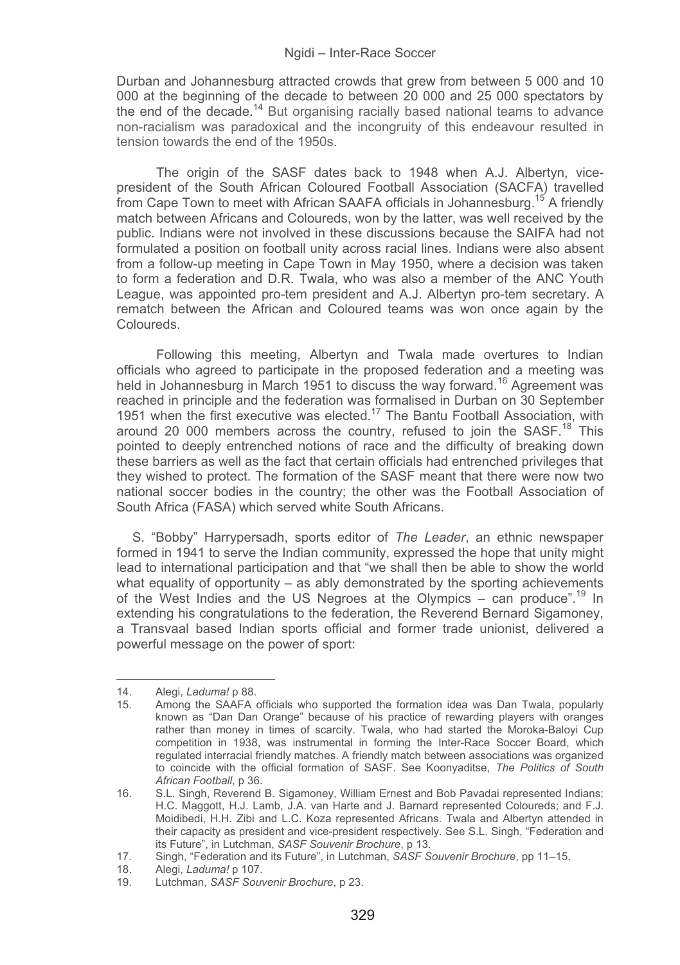Durban and Johannesburg attracted crowds that grew from between 5 000 and 10 000 at the beginning of the decade to between 20 000 and 25 000 spectators by the end of the decade.<sup>14</sup> But organising racially based national teams to advance non-racialism was paradoxical and the incongruity of this endeavour resulted in tension towards the end of the 1950s.

The origin of the SASF dates back to 1948 when A.J. Albertyn, vicepresident of the South African Coloured Football Association (SACFA) travelled from Cape Town to meet with African SAAFA officials in Johannesburg.<sup>15</sup> A friendly match between Africans and Coloureds, won by the latter, was well received by the public. Indians were not involved in these discussions because the SAIFA had not formulated a position on football unity across racial lines. Indians were also absent from a follow-up meeting in Cape Town in May 1950, where a decision was taken to form a federation and D.R. Twala, who was also a member of the ANC Youth League, was appointed pro-tem president and A.J. Albertyn pro-tem secretary. A rematch between the African and Coloured teams was won once again by the Coloureds.

Following this meeting, Albertyn and Twala made overtures to Indian officials who agreed to participate in the proposed federation and a meeting was held in Johannesburg in March 1951 to discuss the way forward.<sup>16</sup> Agreement was reached in principle and the federation was formalised in Durban on 30 September 1951 when the first executive was elected.<sup>17</sup> The Bantu Football Association, with around 20 000 members across the country, refused to join the SASF.<sup>18</sup> This pointed to deeply entrenched notions of race and the difficulty of breaking down these barriers as well as the fact that certain officials had entrenched privileges that they wished to protect. The formation of the SASF meant that there were now two national soccer bodies in the country; the other was the Football Association of South Africa (FASA) which served white South Africans.

S. "Bobby" Harrypersadh, sports editor of *The Leader*, an ethnic newspaper formed in 1941 to serve the Indian community, expressed the hope that unity might lead to international participation and that "we shall then be able to show the world what equality of opportunity  $-$  as ably demonstrated by the sporting achievements of the West Indies and the US Negroes at the Olympics – can produce".19 In extending his congratulations to the federation, the Reverend Bernard Sigamoney, a Transvaal based Indian sports official and former trade unionist, delivered a powerful message on the power of sport:

----------------------------

---------------------

18. Alegi, *Laduma!* p 107.

<sup>-</sup>---------14. Alegi, *Laduma!* p 88.

<sup>15.</sup> Among the SAAFA officials who supported the formation idea was Dan Twala, popularly known as "Dan Dan Orange" because of his practice of rewarding players with oranges rather than money in times of scarcity. Twala, who had started the Moroka-Baloyi Cup competition in 1938, was instrumental in forming the Inter-Race Soccer Board, which regulated interracial friendly matches. A friendly match between associations was organized to coincide with the official formation of SASF. See Koonyaditse, *The Politics of South African Football*, p 36.

<sup>16.</sup> S.L. Singh, Reverend B. Sigamoney, William Ernest and Bob Pavadai represented Indians; H.C. Maggott, H.J. Lamb, J.A. van Harte and J. Barnard represented Coloureds; and F.J. Moidibedi, H.H. Zibi and L.C. Koza represented Africans. Twala and Albertyn attended in their capacity as president and vice-president respectively. See S.L. Singh, "Federation and its Future", in Lutchman, *SASF Souvenir Brochure*, p 13.

<sup>17.</sup> Singh, "Federation and its Future", in Lutchman, *SASF Souvenir Brochure*, pp 11–15.

<sup>19.</sup> Lutchman, *SASF Souvenir Brochure*, p 23.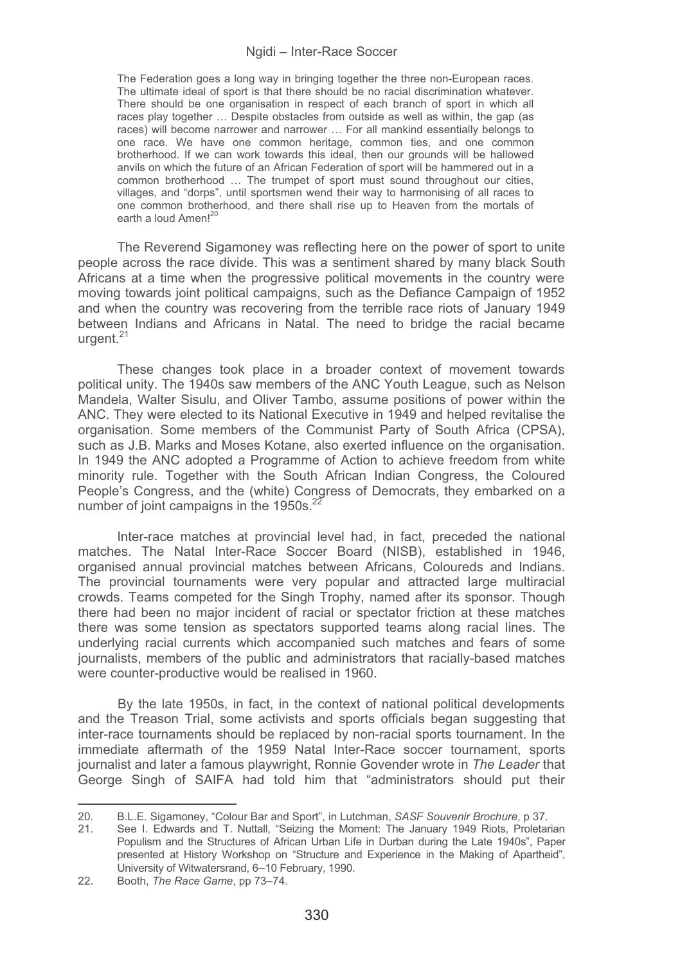The Federation goes a long way in bringing together the three non-European races. The ultimate ideal of sport is that there should be no racial discrimination whatever. There should be one organisation in respect of each branch of sport in which all races play together ... Despite obstacles from outside as well as within, the gap (as races) will become narrower and narrower … For all mankind essentially belongs to one race. We have one common heritage, common ties, and one common brotherhood. If we can work towards this ideal, then our grounds will be hallowed anvils on which the future of an African Federation of sport will be hammered out in a common brotherhood … The trumpet of sport must sound throughout our cities, villages, and "dorps", until sportsmen wend their way to harmonising of all races to one common brotherhood, and there shall rise up to Heaven from the mortals of earth a loud Amen!<sup>20</sup>

The Reverend Sigamoney was reflecting here on the power of sport to unite people across the race divide. This was a sentiment shared by many black South Africans at a time when the progressive political movements in the country were moving towards joint political campaigns, such as the Defiance Campaign of 1952 and when the country was recovering from the terrible race riots of January 1949 between Indians and Africans in Natal. The need to bridge the racial became urgent.<sup>21</sup>

These changes took place in a broader context of movement towards political unity. The 1940s saw members of the ANC Youth League, such as Nelson Mandela, Walter Sisulu, and Oliver Tambo, assume positions of power within the ANC. They were elected to its National Executive in 1949 and helped revitalise the organisation. Some members of the Communist Party of South Africa (CPSA), such as J.B. Marks and Moses Kotane, also exerted influence on the organisation. In 1949 the ANC adopted a Programme of Action to achieve freedom from white minority rule. Together with the South African Indian Congress, the Coloured People's Congress, and the (white) Congress of Democrats, they embarked on a number of joint campaigns in the  $1950s$ .<sup>22</sup>

Inter-race matches at provincial level had, in fact, preceded the national matches. The Natal Inter-Race Soccer Board (NISB), established in 1946, organised annual provincial matches between Africans, Coloureds and Indians. The provincial tournaments were very popular and attracted large multiracial crowds. Teams competed for the Singh Trophy, named after its sponsor. Though there had been no major incident of racial or spectator friction at these matches there was some tension as spectators supported teams along racial lines. The underlying racial currents which accompanied such matches and fears of some journalists, members of the public and administrators that racially-based matches were counter-productive would be realised in 1960.

By the late 1950s, in fact, in the context of national political developments and the Treason Trial, some activists and sports officials began suggesting that inter-race tournaments should be replaced by non-racial sports tournament. In the immediate aftermath of the 1959 Natal Inter-Race soccer tournament, sports journalist and later a famous playwright, Ronnie Govender wrote in *The Leader* that George Singh of SAIFA had told him that "administrators should put their

20. B.L.E. Sigamoney, "Colour Bar and Sport", in Lutchman, *SASF Souvenir Brochure*, p 37.

<sup>21.</sup> See I. Edwards and T. Nuttall, "Seizing the Moment: The January 1949 Riots, Proletarian Populism and the Structures of African Urban Life in Durban during the Late 1940s", Paper presented at History Workshop on "Structure and Experience in the Making of Apartheid", University of Witwatersrand, 6–10 February, 1990.

<sup>22.</sup> Booth, *The Race Game*, pp 73–74.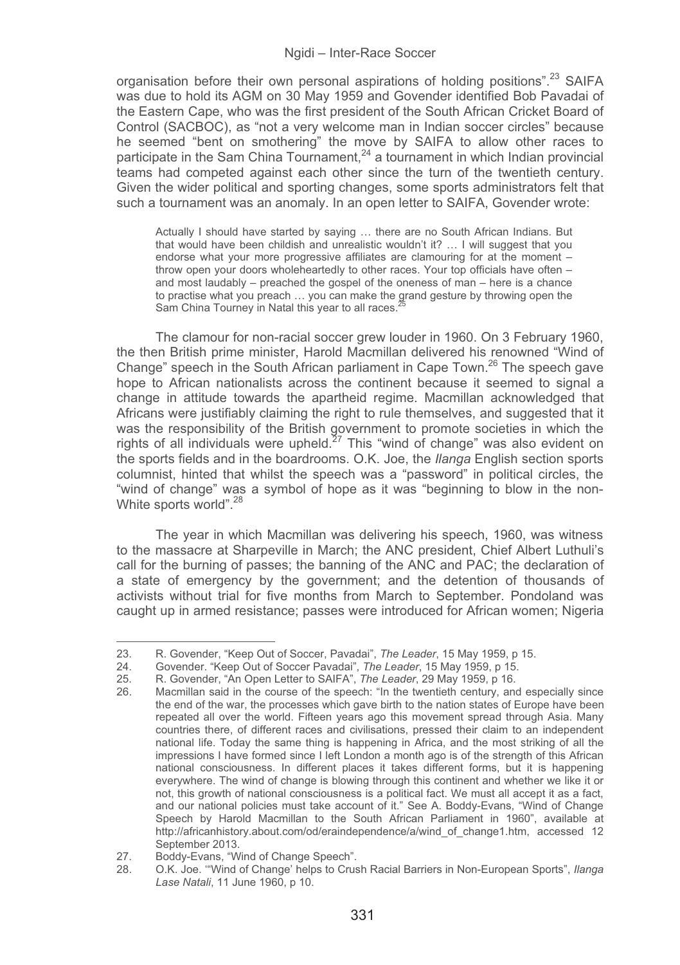organisation before their own personal aspirations of holding positions".<sup>23</sup> SAIFA was due to hold its AGM on 30 May 1959 and Govender identified Bob Pavadai of the Eastern Cape, who was the first president of the South African Cricket Board of Control (SACBOC), as "not a very welcome man in Indian soccer circles" because he seemed "bent on smothering" the move by SAIFA to allow other races to participate in the Sam China Tournament, $^{24}$  a tournament in which Indian provincial teams had competed against each other since the turn of the twentieth century. Given the wider political and sporting changes, some sports administrators felt that such a tournament was an anomaly. In an open letter to SAIFA, Govender wrote:

Actually I should have started by saying … there are no South African Indians. But that would have been childish and unrealistic wouldn't it? … I will suggest that you endorse what your more progressive affiliates are clamouring for at the moment – throw open your doors wholeheartedly to other races. Your top officials have often – and most laudably – preached the gospel of the oneness of man – here is a chance to practise what you preach … you can make the grand gesture by throwing open the Sam China Tourney in Natal this year to all races.

The clamour for non-racial soccer grew louder in 1960. On 3 February 1960, the then British prime minister, Harold Macmillan delivered his renowned "Wind of Change" speech in the South African parliament in Cape Town.<sup>26</sup> The speech gave hope to African nationalists across the continent because it seemed to signal a change in attitude towards the apartheid regime. Macmillan acknowledged that Africans were justifiably claiming the right to rule themselves, and suggested that it was the responsibility of the British government to promote societies in which the rights of all individuals were upheld.<sup>27</sup> This "wind of change" was also evident on the sports fields and in the boardrooms. O.K. Joe, the *Ilanga* English section sports columnist, hinted that whilst the speech was a "password" in political circles, the "wind of change" was a symbol of hope as it was "beginning to blow in the non-White sports world".<sup>28</sup>

The year in which Macmillan was delivering his speech, 1960, was witness to the massacre at Sharpeville in March; the ANC president, Chief Albert Luthuli's call for the burning of passes; the banning of the ANC and PAC; the declaration of a state of emergency by the government; and the detention of thousands of activists without trial for five months from March to September. Pondoland was caught up in armed resistance; passes were introduced for African women; Nigeria

<sup>23.</sup> R. Govender, "Keep Out of Soccer, Pavadai", *The Leader*, 15 May 1959, p 15.

<sup>24.</sup> Govender. "Keep Out of Soccer Pavadai", *The Leader*, 15 May 1959, p 15.

<sup>25.</sup> R. Govender, "An Open Letter to SAIFA", *The Leader*, 29 May 1959, p 16.

<sup>26.</sup> Macmillan said in the course of the speech: "In the twentieth century, and especially since the end of the war, the processes which gave birth to the nation states of Europe have been repeated all over the world. Fifteen years ago this movement spread through Asia. Many countries there, of different races and civilisations, pressed their claim to an independent national life. Today the same thing is happening in Africa, and the most striking of all the impressions I have formed since I left London a month ago is of the strength of this African national consciousness. In different places it takes different forms, but it is happening everywhere. The wind of change is blowing through this continent and whether we like it or not, this growth of national consciousness is a political fact. We must all accept it as a fact, and our national policies must take account of it." See A. Boddy-Evans, "Wind of Change Speech by Harold Macmillan to the South African Parliament in 1960", available at http://africanhistory.about.com/od/eraindependence/a/wind\_of\_change1.htm, accessed 12 September 2013.

<sup>27.</sup> Boddy-Evans, "Wind of Change Speech".<br>28. O.K. Joe. "Wind of Change' belps to Crus

<sup>28.</sup> O.K. Joe. '"Wind of Change' helps to Crush Racial Barriers in Non-European Sports", *Ilanga Lase Natali*, 11 June 1960, p 10.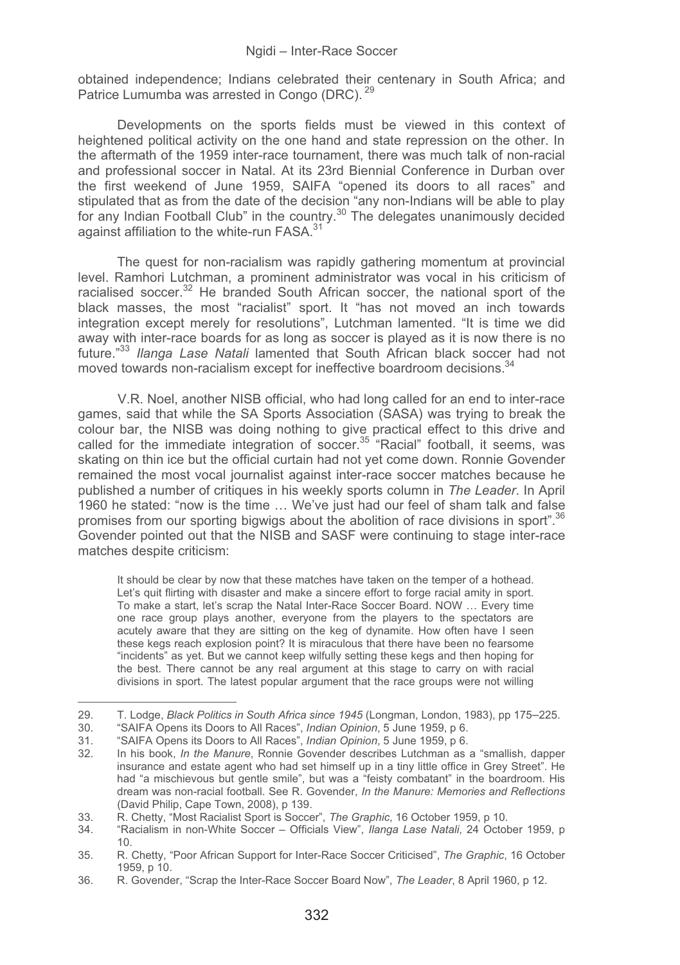obtained independence; Indians celebrated their centenary in South Africa; and Patrice Lumumba was arrested in Congo (DRC). <sup>29</sup>

Developments on the sports fields must be viewed in this context of heightened political activity on the one hand and state repression on the other. In the aftermath of the 1959 inter-race tournament, there was much talk of non-racial and professional soccer in Natal. At its 23rd Biennial Conference in Durban over the first weekend of June 1959, SAIFA "opened its doors to all races" and stipulated that as from the date of the decision "any non-Indians will be able to play for any Indian Football Club" in the country.<sup>30</sup> The delegates unanimously decided against affiliation to the white-run FASA.<sup>31</sup>

The quest for non-racialism was rapidly gathering momentum at provincial level. Ramhori Lutchman, a prominent administrator was vocal in his criticism of racialised soccer.<sup>32</sup> He branded South African soccer, the national sport of the black masses, the most "racialist" sport. It "has not moved an inch towards integration except merely for resolutions", Lutchman lamented. "It is time we did away with inter-race boards for as long as soccer is played as it is now there is no future."33 *Ilanga Lase Natali* lamented that South African black soccer had not moved towards non-racialism except for ineffective boardroom decisions.<sup>34</sup>

V.R. Noel, another NISB official, who had long called for an end to inter-race games, said that while the SA Sports Association (SASA) was trying to break the colour bar, the NISB was doing nothing to give practical effect to this drive and called for the immediate integration of soccer.<sup>35</sup> "Racial" football, it seems, was skating on thin ice but the official curtain had not yet come down. Ronnie Govender remained the most vocal journalist against inter-race soccer matches because he published a number of critiques in his weekly sports column in *The Leader*. In April 1960 he stated: "now is the time … We've just had our feel of sham talk and false promises from our sporting bigwigs about the abolition of race divisions in sport".<sup>36</sup> Govender pointed out that the NISB and SASF were continuing to stage inter-race matches despite criticism:

It should be clear by now that these matches have taken on the temper of a hothead. Let's quit flirting with disaster and make a sincere effort to forge racial amity in sport. To make a start, let's scrap the Natal Inter-Race Soccer Board. NOW … Every time one race group plays another, everyone from the players to the spectators are acutely aware that they are sitting on the keg of dynamite. How often have I seen these kegs reach explosion point? It is miraculous that there have been no fearsome "incidents" as yet. But we cannot keep wilfully setting these kegs and then hoping for the best. There cannot be any real argument at this stage to carry on with racial divisions in sport. The latest popular argument that the race groups were not willing

<sup>29.</sup> T. Lodge, *Black Politics in South Africa since 1945* (Longman, London, 1983), pp 175–225.

<sup>30. &</sup>quot;SAIFA Opens its Doors to All Races", *Indian Opinion*, 5 June 1959, p 6.

<sup>31. &</sup>quot;SAIFA Opens its Doors to All Races", *Indian Opinion*, 5 June 1959, p 6.

<sup>32.</sup> In his book, *In the Manure*, Ronnie Govender describes Lutchman as a "smallish, dapper insurance and estate agent who had set himself up in a tiny little office in Grey Street". He had "a mischievous but gentle smile", but was a "feisty combatant" in the boardroom. His dream was non-racial football. See R. Govender, *In the Manure: Memories and Reflections* (David Philip, Cape Town, 2008), p 139.

<sup>33.</sup> R. Chetty, "Most Racialist Sport is Soccer", *The Graphic*, 16 October 1959, p 10.

<sup>34. &</sup>quot;Racialism in non-White Soccer – Officials View", *Ilanga Lase Natali*, 24 October 1959, p 10.

<sup>35.</sup> R. Chetty, "Poor African Support for Inter-Race Soccer Criticised", *The Graphic*, 16 October 1959, p 10.

<sup>36.</sup> R. Govender, "Scrap the Inter-Race Soccer Board Now", *The Leader*, 8 April 1960, p 12.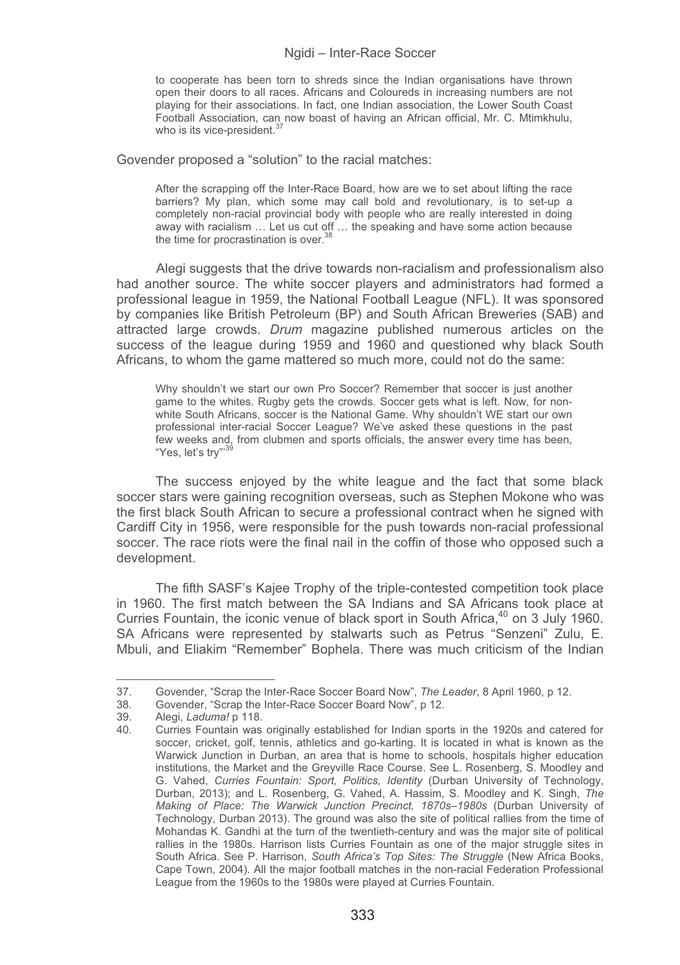to cooperate has been torn to shreds since the Indian organisations have thrown open their doors to all races. Africans and Coloureds in increasing numbers are not playing for their associations. In fact, one Indian association, the Lower South Coast Football Association, can now boast of having an African official, Mr. C. Mtimkhulu, who is its vice-president.<sup>3</sup>

Govender proposed a "solution" to the racial matches:

After the scrapping off the Inter-Race Board, how are we to set about lifting the race barriers? My plan, which some may call bold and revolutionary, is to set-up a completely non-racial provincial body with people who are really interested in doing away with racialism … Let us cut off … the speaking and have some action because the time for procrastination is over  $36$ 

Alegi suggests that the drive towards non-racialism and professionalism also had another source. The white soccer players and administrators had formed a professional league in 1959, the National Football League (NFL). It was sponsored by companies like British Petroleum (BP) and South African Breweries (SAB) and attracted large crowds. *Drum* magazine published numerous articles on the success of the league during 1959 and 1960 and questioned why black South Africans, to whom the game mattered so much more, could not do the same:

Why shouldn't we start our own Pro Soccer? Remember that soccer is just another game to the whites. Rugby gets the crowds. Soccer gets what is left. Now, for nonwhite South Africans, soccer is the National Game. Why shouldn't WE start our own professional inter-racial Soccer League? We've asked these questions in the past few weeks and, from clubmen and sports officials, the answer every time has been, "Yes, let's try"<sup>3</sup>

The success enjoyed by the white league and the fact that some black soccer stars were gaining recognition overseas, such as Stephen Mokone who was the first black South African to secure a professional contract when he signed with Cardiff City in 1956, were responsible for the push towards non-racial professional soccer. The race riots were the final nail in the coffin of those who opposed such a development.

The fifth SASF's Kajee Trophy of the triple-contested competition took place in 1960. The first match between the SA Indians and SA Africans took place at Curries Fountain, the iconic venue of black sport in South Africa,<sup>40</sup> on 3 July 1960. SA Africans were represented by stalwarts such as Petrus "Senzeni" Zulu, E. Mbuli, and Eliakim "Remember" Bophela. There was much criticism of the Indian

<sup>37.</sup> Govender, "Scrap the Inter-Race Soccer Board Now", *The Leader*, 8 April 1960, p 12.

<sup>38.</sup> Govender, "Scrap the Inter-Race Soccer Board Now", p 12.<br>39. Alegi *Ladumal* p 118

<sup>39.</sup> Alegi, *Laduma!* p 118.

<sup>40.</sup> Curries Fountain was originally established for Indian sports in the 1920s and catered for soccer, cricket, golf, tennis, athletics and go-karting. It is located in what is known as the Warwick Junction in Durban, an area that is home to schools, hospitals higher education institutions, the Market and the Greyville Race Course. See L. Rosenberg, S. Moodley and G. Vahed, *Curries Fountain: Sport, Politics, Identity* (Durban University of Technology, Durban, 2013); and L. Rosenberg, G. Vahed, A. Hassim, S. Moodley and K. Singh, *The Making of Place: The Warwick Junction Precinct, 1870s*–*1980s* (Durban University of Technology, Durban 2013). The ground was also the site of political rallies from the time of Mohandas K. Gandhi at the turn of the twentieth-century and was the major site of political rallies in the 1980s. Harrison lists Curries Fountain as one of the major struggle sites in South Africa. See P. Harrison, *South Africa's Top Sites: The Struggle* (New Africa Books, Cape Town, 2004). All the major football matches in the non-racial Federation Professional League from the 1960s to the 1980s were played at Curries Fountain.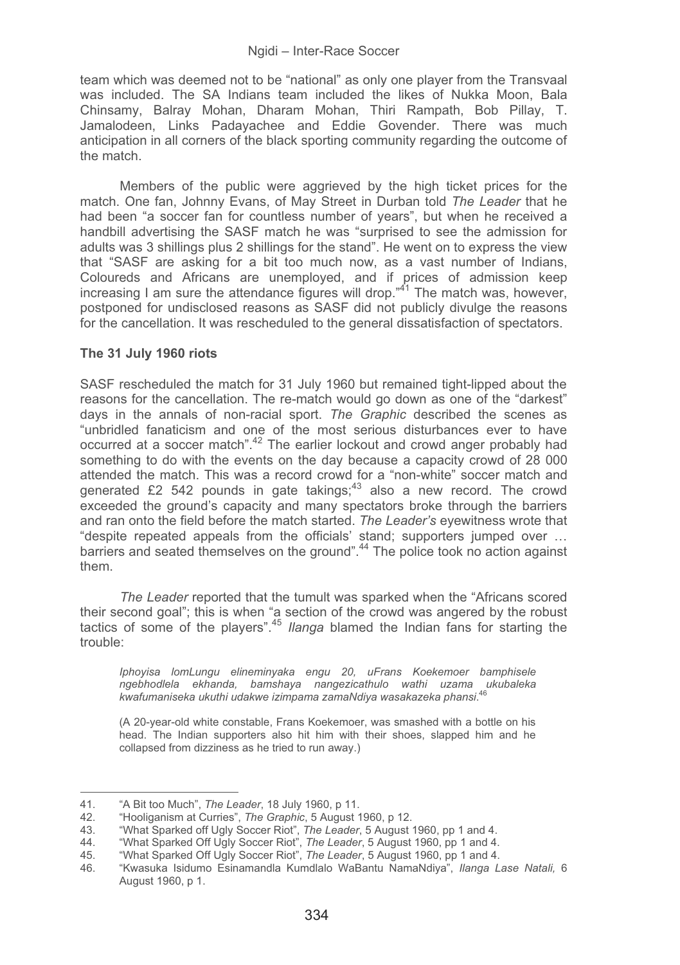team which was deemed not to be "national" as only one player from the Transvaal was included. The SA Indians team included the likes of Nukka Moon, Bala Chinsamy, Balray Mohan, Dharam Mohan, Thiri Rampath, Bob Pillay, T. Jamalodeen, Links Padayachee and Eddie Govender. There was much anticipation in all corners of the black sporting community regarding the outcome of the match.

Members of the public were aggrieved by the high ticket prices for the match. One fan, Johnny Evans, of May Street in Durban told *The Leader* that he had been "a soccer fan for countless number of years", but when he received a handbill advertising the SASF match he was "surprised to see the admission for adults was 3 shillings plus 2 shillings for the stand". He went on to express the view that "SASF are asking for a bit too much now, as a vast number of Indians, Coloureds and Africans are unemployed, and if prices of admission keep increasing I am sure the attendance figures will drop."41 The match was, however, postponed for undisclosed reasons as SASF did not publicly divulge the reasons for the cancellation. It was rescheduled to the general dissatisfaction of spectators.

## **The 31 July 1960 riots**

SASF rescheduled the match for 31 July 1960 but remained tight-lipped about the reasons for the cancellation. The re-match would go down as one of the "darkest" days in the annals of non-racial sport. *The Graphic* described the scenes as "unbridled fanaticism and one of the most serious disturbances ever to have occurred at a soccer match".42 The earlier lockout and crowd anger probably had something to do with the events on the day because a capacity crowd of 28 000 attended the match. This was a record crowd for a "non-white" soccer match and generated £2 542 pounds in gate takings;43 also a new record. The crowd exceeded the ground's capacity and many spectators broke through the barriers and ran onto the field before the match started. *The Leader's* eyewitness wrote that "despite repeated appeals from the officials' stand; supporters jumped over … barriers and seated themselves on the ground".44 The police took no action against them.

*The Leader* reported that the tumult was sparked when the "Africans scored their second goal"; this is when "a section of the crowd was angered by the robust tactics of some of the players".<sup>45</sup> *Ilanga* blamed the Indian fans for starting the trouble:

*Iphoyisa lomLungu elineminyaka engu 20, uFrans Koekemoer bamphisele ngebhodlela ekhanda, bamshaya nangezicathulo wathi uzama ukubaleka kwafumaniseka ukuthi udakwe izimpama zamaNdiya wasakazeka phansi*. 46

(A 20-year-old white constable, Frans Koekemoer, was smashed with a bottle on his head. The Indian supporters also hit him with their shoes, slapped him and he collapsed from dizziness as he tried to run away.)

--

-----------------------------------------------

<sup>-</sup>---------41. "A Bit too Much", *The Leader*, 18 July 1960, p 11.

<sup>42. &</sup>quot;Hooliganism at Curries", *The Graphic*, 5 August 1960, p 12.<br>43. "What Sparked off Ugly Soccer Riot", *The Leader*, 5 August 1960, pp 1 and 4.<br>44. "What Sparked Off Ugly Soccer Riot", *The Leader*, 5 August 1960, pp 1 August 1960, p 1.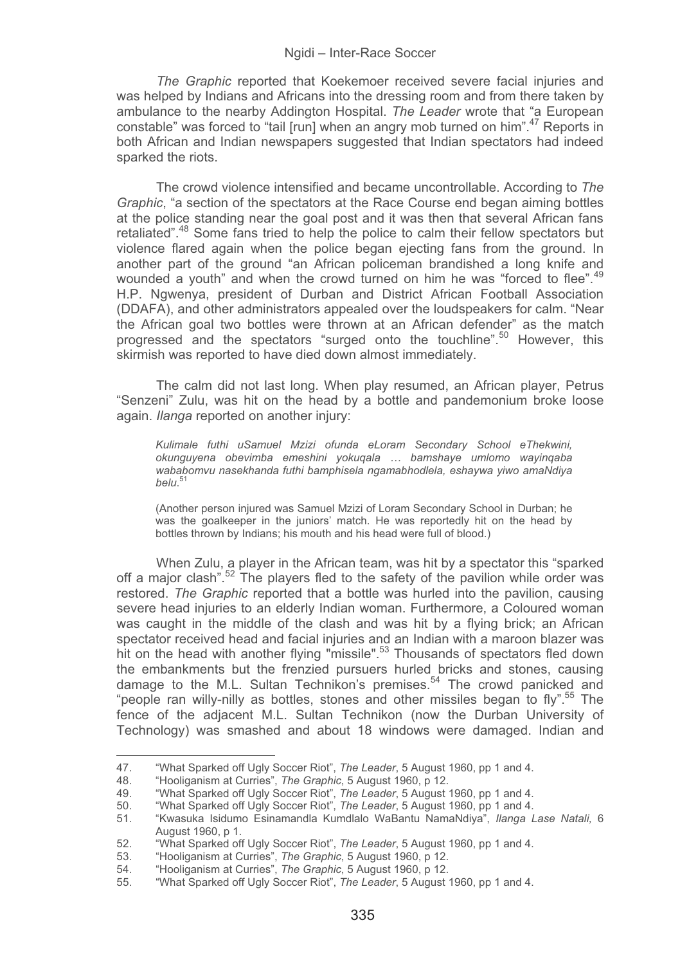*The Graphic* reported that Koekemoer received severe facial injuries and was helped by Indians and Africans into the dressing room and from there taken by ambulance to the nearby Addington Hospital. *The Leader* wrote that "a European constable" was forced to "tail [run] when an angry mob turned on him".<sup>47</sup> Reports in both African and Indian newspapers suggested that Indian spectators had indeed sparked the riots.

The crowd violence intensified and became uncontrollable. According to *The Graphic*, "a section of the spectators at the Race Course end began aiming bottles at the police standing near the goal post and it was then that several African fans retaliated".<sup>48</sup> Some fans tried to help the police to calm their fellow spectators but violence flared again when the police began ejecting fans from the ground. In another part of the ground "an African policeman brandished a long knife and wounded a youth" and when the crowd turned on him he was "forced to flee".<sup>49</sup> H.P. Ngwenya, president of Durban and District African Football Association (DDAFA), and other administrators appealed over the loudspeakers for calm. "Near the African goal two bottles were thrown at an African defender" as the match progressed and the spectators "surged onto the touchline".50 However, this skirmish was reported to have died down almost immediately.

The calm did not last long. When play resumed, an African player, Petrus "Senzeni" Zulu, was hit on the head by a bottle and pandemonium broke loose again. *Ilanga* reported on another injury:

*Kulimale futhi uSamuel Mzizi ofunda eLoram Secondary School eThekwini, okunguyena obevimba emeshini yokuqala … bamshaye umlomo wayinqaba wababomvu nasekhanda futhi bamphisela ngamabhodlela, eshaywa yiwo amaNdiya belu*. 51

(Another person injured was Samuel Mzizi of Loram Secondary School in Durban; he was the goalkeeper in the juniors' match. He was reportedly hit on the head by bottles thrown by Indians; his mouth and his head were full of blood.)

When Zulu, a player in the African team, was hit by a spectator this "sparked off a major clash".<sup>52</sup> The players fled to the safety of the pavilion while order was restored. *The Graphic* reported that a bottle was hurled into the pavilion, causing severe head injuries to an elderly Indian woman. Furthermore, a Coloured woman was caught in the middle of the clash and was hit by a flying brick; an African spectator received head and facial injuries and an Indian with a maroon blazer was hit on the head with another flying "missile".<sup>53</sup> Thousands of spectators fled down the embankments but the frenzied pursuers hurled bricks and stones, causing damage to the M.L. Sultan Technikon's premises.<sup>54</sup> The crowd panicked and "people ran willy-nilly as bottles, stones and other missiles began to fly".<sup>55</sup> The fence of the adjacent M.L. Sultan Technikon (now the Durban University of Technology) was smashed and about 18 windows were damaged. Indian and

<sup>47. &</sup>quot;What Sparked off Ugly Soccer Riot", *The Leader*, 5 August 1960, pp 1 and 4.

<sup>48. &</sup>quot;Hooliganism at Curries", *The Graphic*, 5 August 1960, p 12.

<sup>49. &</sup>quot;What Sparked off Ugly Soccer Riot", *The Leader*, 5 August 1960, pp 1 and 4. 50. "What Sparked off Ugly Soccer Riot", *The Leader*, 5 August 1960, pp 1 and 4.

<sup>51. &</sup>quot;Kwasuka Isidumo Esinamandla Kumdlalo WaBantu NamaNdiya", *Ilanga Lase Natali,* 6 August 1960, p 1.

<sup>52. &</sup>quot;What Sparked off Ugly Soccer Riot", *The Leader*, 5 August 1960, pp 1 and 4.<br>53. "Hooliganism at Curries". *The Graphic*, 5 August 1960. p 12.

<sup>53. &</sup>quot;Hooliganism at Curries", *The Graphic*, 5 August 1960, p 12.

<sup>54. &</sup>quot;Hooliganism at Curries", *The Graphic*, 5 August 1960, p 12.

<sup>55. &</sup>quot;What Sparked off Ugly Soccer Riot", *The Leader*, 5 August 1960, pp 1 and 4.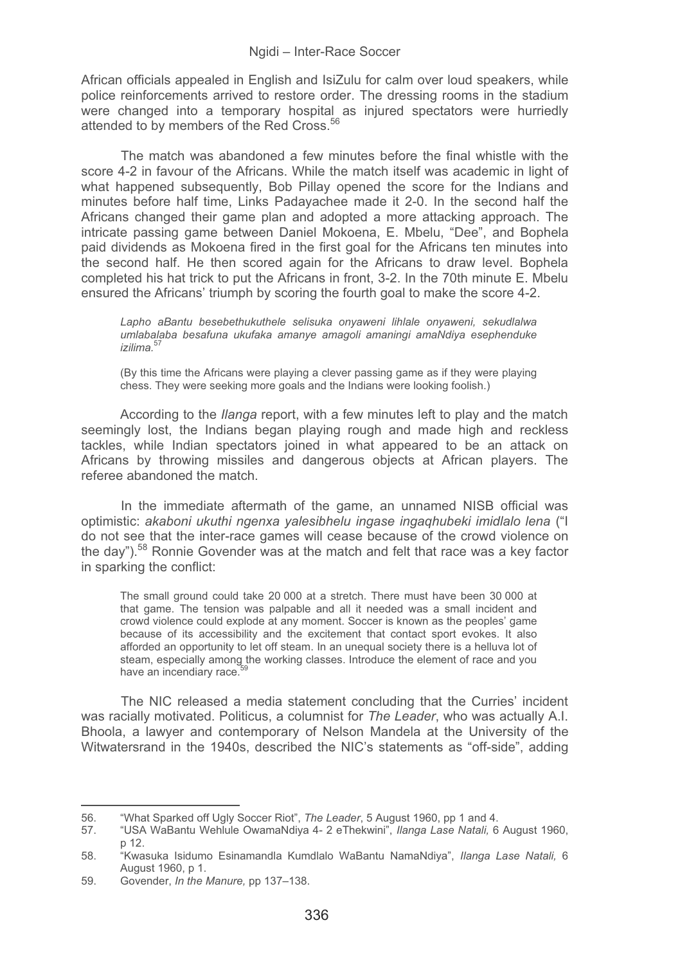African officials appealed in English and IsiZulu for calm over loud speakers, while police reinforcements arrived to restore order. The dressing rooms in the stadium were changed into a temporary hospital as injured spectators were hurriedly attended to by members of the Red Cross.<sup>56</sup>

The match was abandoned a few minutes before the final whistle with the score 4-2 in favour of the Africans. While the match itself was academic in light of what happened subsequently, Bob Pillay opened the score for the Indians and minutes before half time, Links Padayachee made it 2-0. In the second half the Africans changed their game plan and adopted a more attacking approach. The intricate passing game between Daniel Mokoena, E. Mbelu, "Dee", and Bophela paid dividends as Mokoena fired in the first goal for the Africans ten minutes into the second half. He then scored again for the Africans to draw level. Bophela completed his hat trick to put the Africans in front, 3-2. In the 70th minute E. Mbelu ensured the Africans' triumph by scoring the fourth goal to make the score 4-2.

*Lapho aBantu besebethukuthele selisuka onyaweni lihlale onyaweni, sekudlalwa umlabalaba besafuna ukufaka amanye amagoli amaningi amaNdiya esephenduke izilima.*<sup>57</sup>

(By this time the Africans were playing a clever passing game as if they were playing chess. They were seeking more goals and the Indians were looking foolish.)

According to the *Ilanga* report, with a few minutes left to play and the match seemingly lost, the Indians began playing rough and made high and reckless tackles, while Indian spectators joined in what appeared to be an attack on Africans by throwing missiles and dangerous objects at African players. The referee abandoned the match.

In the immediate aftermath of the game, an unnamed NISB official was optimistic: *akaboni ukuthi ngenxa yalesibhelu ingase ingaqhubeki imidlalo lena* ("I do not see that the inter-race games will cease because of the crowd violence on the day").<sup>58</sup> Ronnie Govender was at the match and felt that race was a key factor in sparking the conflict:

The small ground could take 20 000 at a stretch. There must have been 30 000 at that game. The tension was palpable and all it needed was a small incident and crowd violence could explode at any moment. Soccer is known as the peoples' game because of its accessibility and the excitement that contact sport evokes. It also afforded an opportunity to let off steam. In an unequal society there is a helluva lot of steam, especially among the working classes. Introduce the element of race and you have an incendiary race.<sup>5</sup>

The NIC released a media statement concluding that the Curries' incident was racially motivated. Politicus, a columnist for *The Leader*, who was actually A.I. Bhoola, a lawyer and contemporary of Nelson Mandela at the University of the Witwatersrand in the 1940s, described the NIC's statements as "off-side", adding

<sup>56. &</sup>quot;What Sparked off Ugly Soccer Riot", *The Leader*, 5 August 1960, pp 1 and 4.

<sup>57. &</sup>quot;USA WaBantu Wehlule OwamaNdiya 4- 2 eThekwini", *Ilanga Lase Natali,* 6 August 1960, p 12.

<sup>58. &</sup>quot;Kwasuka Isidumo Esinamandla Kumdlalo WaBantu NamaNdiya", *Ilanga Lase Natali,* 6 August 1960, p 1.

<sup>59.</sup> Govender, *In the Manure,* pp 137–138.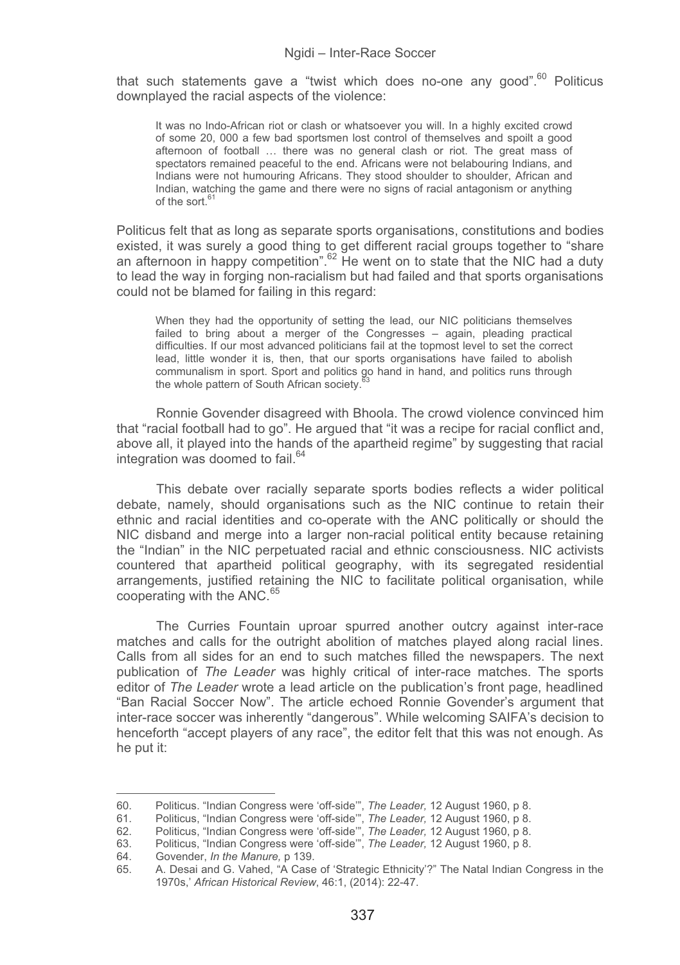that such statements gave a "twist which does no-one any good".<sup>60</sup> Politicus downplayed the racial aspects of the violence:

It was no Indo-African riot or clash or whatsoever you will. In a highly excited crowd of some 20, 000 a few bad sportsmen lost control of themselves and spoilt a good afternoon of football … there was no general clash or riot. The great mass of spectators remained peaceful to the end. Africans were not belabouring Indians, and Indians were not humouring Africans. They stood shoulder to shoulder, African and Indian, watching the game and there were no signs of racial antagonism or anything of the sort.

Politicus felt that as long as separate sports organisations, constitutions and bodies existed, it was surely a good thing to get different racial groups together to "share an afternoon in happy competition".<sup>62</sup> He went on to state that the NIC had a duty to lead the way in forging non-racialism but had failed and that sports organisations could not be blamed for failing in this regard:

When they had the opportunity of setting the lead, our NIC politicians themselves failed to bring about a merger of the Congresses – again, pleading practical difficulties. If our most advanced politicians fail at the topmost level to set the correct lead, little wonder it is, then, that our sports organisations have failed to abolish communalism in sport. Sport and politics go hand in hand, and politics runs through the whole pattern of South African society.

Ronnie Govender disagreed with Bhoola. The crowd violence convinced him that "racial football had to go". He argued that "it was a recipe for racial conflict and, above all, it played into the hands of the apartheid regime" by suggesting that racial integration was doomed to fail.<sup>64</sup>

This debate over racially separate sports bodies reflects a wider political debate, namely, should organisations such as the NIC continue to retain their ethnic and racial identities and co-operate with the ANC politically or should the NIC disband and merge into a larger non-racial political entity because retaining the "Indian" in the NIC perpetuated racial and ethnic consciousness. NIC activists countered that apartheid political geography, with its segregated residential arrangements, justified retaining the NIC to facilitate political organisation, while cooperating with the ANC.<sup>65</sup>

The Curries Fountain uproar spurred another outcry against inter-race matches and calls for the outright abolition of matches played along racial lines. Calls from all sides for an end to such matches filled the newspapers. The next publication of *The Leader* was highly critical of inter-race matches. The sports editor of *The Leader* wrote a lead article on the publication's front page, headlined "Ban Racial Soccer Now". The article echoed Ronnie Govender's argument that inter-race soccer was inherently "dangerous". While welcoming SAIFA's decision to henceforth "accept players of any race", the editor felt that this was not enough. As he put it:

<sup>60.</sup> Politicus. "Indian Congress were 'off-side'", *The Leader,* 12 August 1960, p 8.

<sup>61.</sup> Politicus, "Indian Congress were 'off-side'", *The Leader,* 12 August 1960, p 8. 62. Politicus, "Indian Congress were 'off-side'", *The Leader,* 12 August 1960, p 8.

<sup>63.</sup> Politicus, "Indian Congress were 'off-side'", *The Leader,* 12 August 1960, p 8.

<sup>64.</sup> Govender, *In the Manure,* p 139.

<sup>65.</sup> A. Desai and G. Vahed, "A Case of 'Strategic Ethnicity'?" The Natal Indian Congress in the 1970s,' *African Historical Review*, 46:1, (2014): 22-47.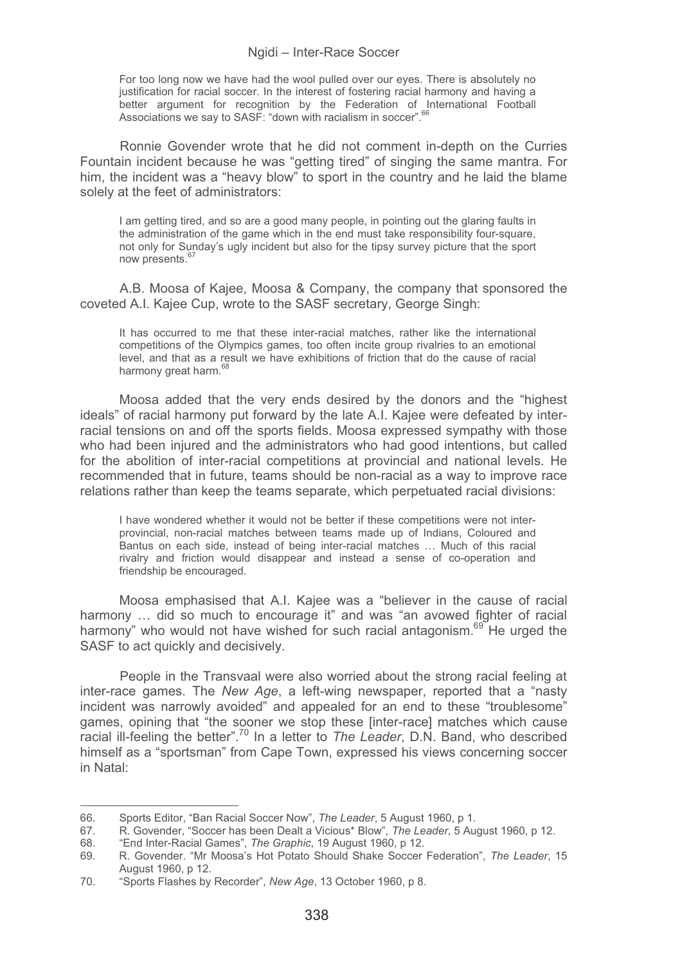For too long now we have had the wool pulled over our eyes. There is absolutely no justification for racial soccer. In the interest of fostering racial harmony and having a better argument for recognition by the Federation of International Football Associations we say to SASF: "down with racialism in soccer".

Ronnie Govender wrote that he did not comment in-depth on the Curries Fountain incident because he was "getting tired" of singing the same mantra. For him, the incident was a "heavy blow" to sport in the country and he laid the blame solely at the feet of administrators:

I am getting tired, and so are a good many people, in pointing out the glaring faults in the administration of the game which in the end must take responsibility four-square, not only for Sunday's ugly incident but also for the tipsy survey picture that the sport now presents.<sup>67</sup>

A.B. Moosa of Kajee, Moosa & Company, the company that sponsored the coveted A.I. Kajee Cup, wrote to the SASF secretary, George Singh:

It has occurred to me that these inter-racial matches, rather like the international competitions of the Olympics games, too often incite group rivalries to an emotional level, and that as a result we have exhibitions of friction that do the cause of racial harmony great harm.<sup>68</sup>

Moosa added that the very ends desired by the donors and the "highest ideals" of racial harmony put forward by the late A.I. Kajee were defeated by interracial tensions on and off the sports fields. Moosa expressed sympathy with those who had been injured and the administrators who had good intentions, but called for the abolition of inter-racial competitions at provincial and national levels. He recommended that in future, teams should be non-racial as a way to improve race relations rather than keep the teams separate, which perpetuated racial divisions:

I have wondered whether it would not be better if these competitions were not interprovincial, non-racial matches between teams made up of Indians, Coloured and Bantus on each side, instead of being inter-racial matches … Much of this racial rivalry and friction would disappear and instead a sense of co-operation and friendship be encouraged.

Moosa emphasised that A.I. Kajee was a "believer in the cause of racial harmony ... did so much to encourage it" and was "an avowed fighter of racial harmony" who would not have wished for such racial antagonism.<sup>69</sup> He urged the SASF to act quickly and decisively.

People in the Transvaal were also worried about the strong racial feeling at inter-race games. The *New Age*, a left-wing newspaper, reported that a "nasty incident was narrowly avoided" and appealed for an end to these "troublesome" games, opining that "the sooner we stop these [inter-race] matches which cause racial ill-feeling the better".70 In a letter to *The Leader*, D.N. Band, who described himself as a "sportsman" from Cape Town, expressed his views concerning soccer in Natal:

<sup>66.</sup> Sports Editor, "Ban Racial Soccer Now", *The Leader*, 5 August 1960, p 1.

<sup>67.</sup> R. Govender, "Soccer has been Dealt a Vicious\* Blow", *The Leader*, 5 August 1960, p 12.

<sup>68. &</sup>quot;End Inter-Racial Games", *The Graphic*, 19 August 1960, p 12.

<sup>69.</sup> R. Govender. "Mr Moosa's Hot Potato Should Shake Soccer Federation", *The Leader*, 15 August 1960, p 12.

<sup>70. &</sup>quot;Sports Flashes by Recorder", *New Age*, 13 October 1960, p 8.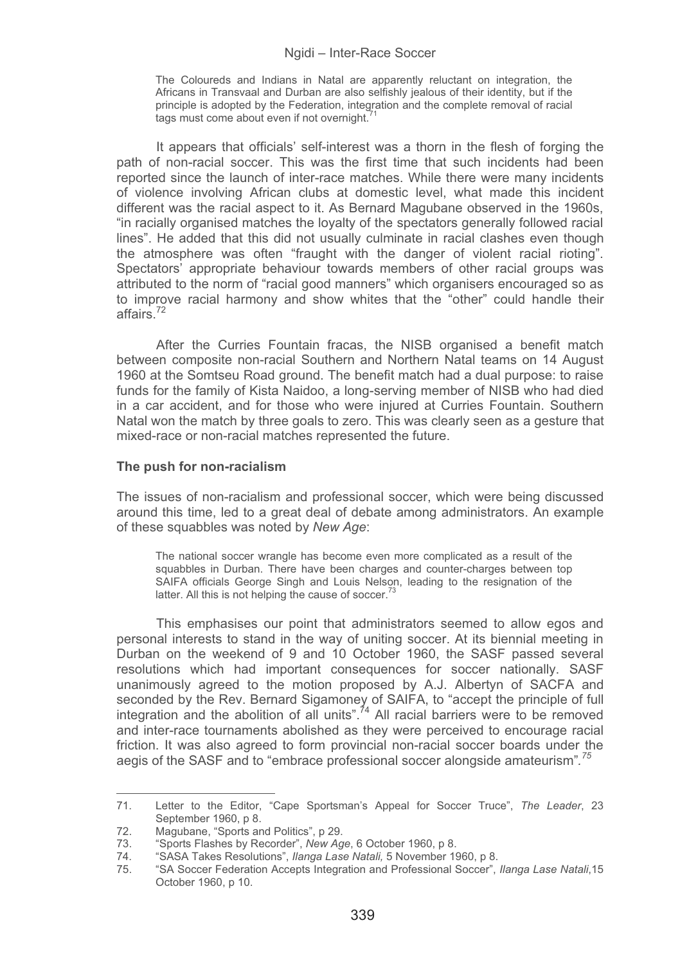The Coloureds and Indians in Natal are apparently reluctant on integration, the Africans in Transvaal and Durban are also selfishly jealous of their identity, but if the principle is adopted by the Federation, integration and the complete removal of racial tags must come about even if not overnight.<sup>7</sup>

It appears that officials' self-interest was a thorn in the flesh of forging the path of non-racial soccer. This was the first time that such incidents had been reported since the launch of inter-race matches. While there were many incidents of violence involving African clubs at domestic level, what made this incident different was the racial aspect to it. As Bernard Magubane observed in the 1960s, "in racially organised matches the loyalty of the spectators generally followed racial lines". He added that this did not usually culminate in racial clashes even though the atmosphere was often "fraught with the danger of violent racial rioting". Spectators' appropriate behaviour towards members of other racial groups was attributed to the norm of "racial good manners" which organisers encouraged so as to improve racial harmony and show whites that the "other" could handle their affairs.72

After the Curries Fountain fracas, the NISB organised a benefit match between composite non-racial Southern and Northern Natal teams on 14 August 1960 at the Somtseu Road ground. The benefit match had a dual purpose: to raise funds for the family of Kista Naidoo, a long-serving member of NISB who had died in a car accident, and for those who were injured at Curries Fountain. Southern Natal won the match by three goals to zero. This was clearly seen as a gesture that mixed-race or non-racial matches represented the future.

### **The push for non-racialism**

The issues of non-racialism and professional soccer, which were being discussed around this time, led to a great deal of debate among administrators. An example of these squabbles was noted by *New Age*:

The national soccer wrangle has become even more complicated as a result of the squabbles in Durban. There have been charges and counter-charges between top SAIFA officials George Singh and Louis Nelson, leading to the resignation of the latter. All this is not helping the cause of soccer.<sup>73</sup>

This emphasises our point that administrators seemed to allow egos and personal interests to stand in the way of uniting soccer. At its biennial meeting in Durban on the weekend of 9 and 10 October 1960, the SASF passed several resolutions which had important consequences for soccer nationally. SASF unanimously agreed to the motion proposed by A.J. Albertyn of SACFA and seconded by the Rev. Bernard Sigamoney of SAIFA, to "accept the principle of full integration and the abolition of all units".74 All racial barriers were to be removed and inter-race tournaments abolished as they were perceived to encourage racial friction. It was also agreed to form provincial non-racial soccer boards under the aegis of the SASF and to "embrace professional soccer alongside amateurism"*. 75* 

<sup>71.</sup> Letter to the Editor, "Cape Sportsman's Appeal for Soccer Truce", *The Leader*, 23 September 1960, p 8.

<sup>72.</sup> Magubane, "Sports and Politics", p 29.<br>73. "Sports Flashes by Recorder", New Ag

<sup>73. &</sup>quot;Sports Flashes by Recorder", *New Age*, 6 October 1960, p 8.

<sup>74. &</sup>quot;SASA Takes Resolutions", *Ilanga Lase Natali,* 5 November 1960, p 8.

<sup>75. &</sup>quot;SA Soccer Federation Accepts Integration and Professional Soccer", *Ilanga Lase Natali*,15 October 1960, p 10.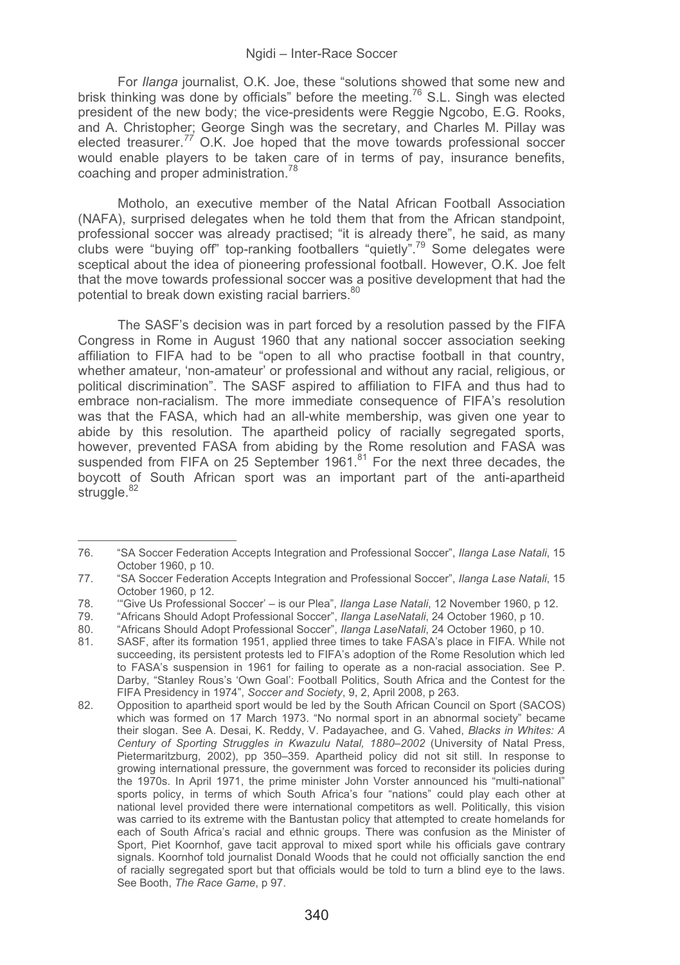For *Ilanga* journalist, O.K. Joe, these "solutions showed that some new and brisk thinking was done by officials" before the meeting.76 S.L. Singh was elected president of the new body; the vice-presidents were Reggie Ngcobo, E.G. Rooks, and A. Christopher; George Singh was the secretary, and Charles M. Pillay was elected treasurer.*<sup>77</sup>* O.K. Joe hoped that the move towards professional soccer would enable players to be taken care of in terms of pay, insurance benefits, coaching and proper administration.<sup>78</sup>

Motholo, an executive member of the Natal African Football Association (NAFA), surprised delegates when he told them that from the African standpoint, professional soccer was already practised; "it is already there", he said, as many clubs were "buying off" top-ranking footballers "quietly".79 Some delegates were sceptical about the idea of pioneering professional football. However, O.K. Joe felt that the move towards professional soccer was a positive development that had the potential to break down existing racial barriers.<sup>80</sup>

The SASF's decision was in part forced by a resolution passed by the FIFA Congress in Rome in August 1960 that any national soccer association seeking affiliation to FIFA had to be "open to all who practise football in that country, whether amateur, 'non-amateur' or professional and without any racial, religious, or political discrimination". The SASF aspired to affiliation to FIFA and thus had to embrace non-racialism. The more immediate consequence of FIFA's resolution was that the FASA, which had an all-white membership, was given one year to abide by this resolution. The apartheid policy of racially segregated sports, however, prevented FASA from abiding by the Rome resolution and FASA was suspended from FIFA on 25 September  $1961$ .<sup>81</sup> For the next three decades, the boycott of South African sport was an important part of the anti-apartheid struggle.<sup>82</sup>

<sup>76. &</sup>quot;SA Soccer Federation Accepts Integration and Professional Soccer", *Ilanga Lase Natali*, 15 October 1960, p 10.

<sup>77. &</sup>quot;SA Soccer Federation Accepts Integration and Professional Soccer", *Ilanga Lase Natali*, 15 October 1960, p 12.

<sup>78. &#</sup>x27;"Give Us Professional Soccer' – is our Plea", *Ilanga Lase Natali*, 12 November 1960, p 12.

<sup>79. &</sup>quot;Africans Should Adopt Professional Soccer", *Ilanga LaseNatali*, 24 October 1960, p 10.

<sup>80. &</sup>quot;Africans Should Adopt Professional Soccer", *Ilanga LaseNatali*, 24 October 1960, p 10.

SASF, after its formation 1951, applied three times to take FASA's place in FIFA. While not succeeding, its persistent protests led to FIFA's adoption of the Rome Resolution which led to FASA's suspension in 1961 for failing to operate as a non-racial association. See P. Darby, "Stanley Rous's 'Own Goal': Football Politics, South Africa and the Contest for the FIFA Presidency in 1974", *Soccer and Society*, 9, 2, April 2008, p 263.

<sup>82.</sup> Opposition to apartheid sport would be led by the South African Council on Sport (SACOS) which was formed on 17 March 1973. "No normal sport in an abnormal society" became their slogan. See A. Desai, K. Reddy, V. Padayachee, and G. Vahed, *Blacks in Whites: A Century of Sporting Struggles in Kwazulu Natal, 1880*–*2002* (University of Natal Press, Pietermaritzburg, 2002), pp 350–359. Apartheid policy did not sit still. In response to growing international pressure, the government was forced to reconsider its policies during the 1970s. In April 1971, the prime minister John Vorster announced his "multi-national" sports policy, in terms of which South Africa's four "nations" could play each other at national level provided there were international competitors as well. Politically, this vision was carried to its extreme with the Bantustan policy that attempted to create homelands for each of South Africa's racial and ethnic groups. There was confusion as the Minister of Sport. Piet Koornhof, gave tacit approval to mixed sport while his officials gave contrary signals. Koornhof told journalist Donald Woods that he could not officially sanction the end of racially segregated sport but that officials would be told to turn a blind eye to the laws. See Booth, *The Race Game*, p 97.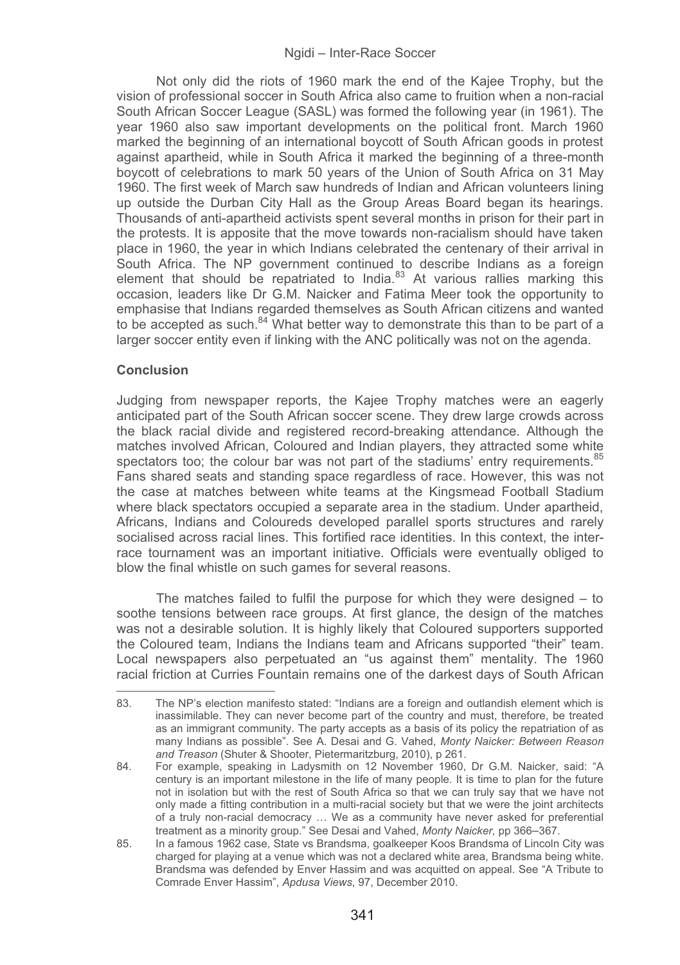Not only did the riots of 1960 mark the end of the Kajee Trophy, but the vision of professional soccer in South Africa also came to fruition when a non-racial South African Soccer League (SASL) was formed the following year (in 1961). The year 1960 also saw important developments on the political front. March 1960 marked the beginning of an international boycott of South African goods in protest against apartheid, while in South Africa it marked the beginning of a three-month boycott of celebrations to mark 50 years of the Union of South Africa on 31 May 1960. The first week of March saw hundreds of Indian and African volunteers lining up outside the Durban City Hall as the Group Areas Board began its hearings. Thousands of anti-apartheid activists spent several months in prison for their part in the protests. It is apposite that the move towards non-racialism should have taken place in 1960, the year in which Indians celebrated the centenary of their arrival in South Africa. The NP government continued to describe Indians as a foreign element that should be repatriated to India. $83$  At various rallies marking this occasion, leaders like Dr G.M. Naicker and Fatima Meer took the opportunity to emphasise that Indians regarded themselves as South African citizens and wanted to be accepted as such.<sup>84</sup> What better way to demonstrate this than to be part of a larger soccer entity even if linking with the ANC politically was not on the agenda.

## **Conclusion**

Judging from newspaper reports, the Kajee Trophy matches were an eagerly anticipated part of the South African soccer scene. They drew large crowds across the black racial divide and registered record-breaking attendance. Although the matches involved African, Coloured and Indian players, they attracted some white spectators too; the colour bar was not part of the stadiums' entry requirements. 85 Fans shared seats and standing space regardless of race. However, this was not the case at matches between white teams at the Kingsmead Football Stadium where black spectators occupied a separate area in the stadium. Under apartheid, Africans, Indians and Coloureds developed parallel sports structures and rarely socialised across racial lines. This fortified race identities. In this context, the interrace tournament was an important initiative. Officials were eventually obliged to blow the final whistle on such games for several reasons.

The matches failed to fulfil the purpose for which they were designed  $-$  to soothe tensions between race groups. At first glance, the design of the matches was not a desirable solution. It is highly likely that Coloured supporters supported the Coloured team, Indians the Indians team and Africans supported "their" team. Local newspapers also perpetuated an "us against them" mentality. The 1960 racial friction at Curries Fountain remains one of the darkest days of South African -----------------------------------------------------------

<sup>83.</sup> The NP's election manifesto stated: "Indians are a foreign and outlandish element which is inassimilable. They can never become part of the country and must, therefore, be treated as an immigrant community. The party accepts as a basis of its policy the repatriation of as many Indians as possible". See A. Desai and G. Vahed, *Monty Naicker: Between Reason and Treason* (Shuter & Shooter, Pietermaritzburg, 2010), p 261.

<sup>84.</sup> For example, speaking in Ladysmith on 12 November 1960, Dr G.M. Naicker, said: "A century is an important milestone in the life of many people. It is time to plan for the future not in isolation but with the rest of South Africa so that we can truly say that we have not only made a fitting contribution in a multi-racial society but that we were the joint architects of a truly non-racial democracy … We as a community have never asked for preferential treatment as a minority group." See Desai and Vahed, *Monty Naicker,* pp 366–367.

<sup>85.</sup> In a famous 1962 case, State vs Brandsma, goalkeeper Koos Brandsma of Lincoln City was charged for playing at a venue which was not a declared white area, Brandsma being white. Brandsma was defended by Enver Hassim and was acquitted on appeal. See "A Tribute to Comrade Enver Hassim", *Apdusa Views*, 97, December 2010.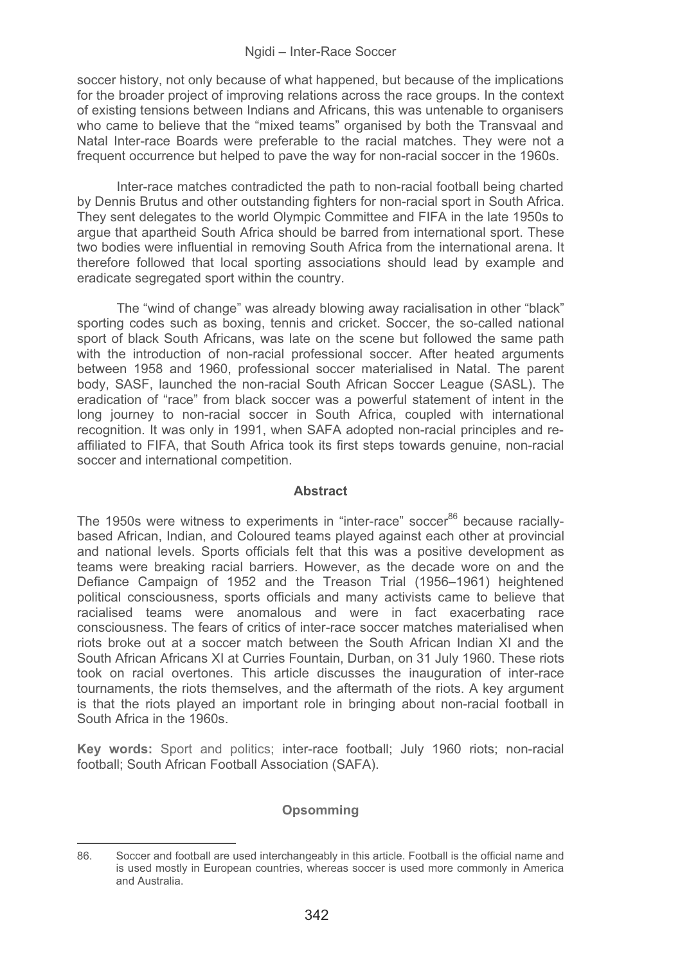soccer history, not only because of what happened, but because of the implications for the broader project of improving relations across the race groups. In the context of existing tensions between Indians and Africans, this was untenable to organisers who came to believe that the "mixed teams" organised by both the Transvaal and Natal Inter-race Boards were preferable to the racial matches. They were not a frequent occurrence but helped to pave the way for non-racial soccer in the 1960s.

Inter-race matches contradicted the path to non-racial football being charted by Dennis Brutus and other outstanding fighters for non-racial sport in South Africa. They sent delegates to the world Olympic Committee and FIFA in the late 1950s to arque that apartheid South Africa should be barred from international sport. These two bodies were influential in removing South Africa from the international arena. It therefore followed that local sporting associations should lead by example and eradicate segregated sport within the country.

The "wind of change" was already blowing away racialisation in other "black" sporting codes such as boxing, tennis and cricket. Soccer, the so-called national sport of black South Africans, was late on the scene but followed the same path with the introduction of non-racial professional soccer. After heated arguments between 1958 and 1960, professional soccer materialised in Natal. The parent body, SASF, launched the non-racial South African Soccer League (SASL). The eradication of "race" from black soccer was a powerful statement of intent in the long journey to non-racial soccer in South Africa, coupled with international recognition. It was only in 1991, when SAFA adopted non-racial principles and reaffiliated to FIFA, that South Africa took its first steps towards genuine, non-racial soccer and international competition.

# **Abstract**

The 1950s were witness to experiments in "inter-race" soccer<sup>86</sup> because raciallybased African, Indian, and Coloured teams played against each other at provincial and national levels. Sports officials felt that this was a positive development as teams were breaking racial barriers. However, as the decade wore on and the Defiance Campaign of 1952 and the Treason Trial (1956–1961) heightened political consciousness, sports officials and many activists came to believe that racialised teams were anomalous and were in fact exacerbating race consciousness. The fears of critics of inter-race soccer matches materialised when riots broke out at a soccer match between the South African Indian XI and the South African Africans XI at Curries Fountain, Durban, on 31 July 1960. These riots took on racial overtones. This article discusses the inauguration of inter-race tournaments, the riots themselves, and the aftermath of the riots. A key argument is that the riots played an important role in bringing about non-racial football in South Africa in the 1960s.

**Key words:** Sport and politics; inter-race football; July 1960 riots; non-racial football; South African Football Association (SAFA).

# **Opsomming**

<sup>86.</sup> Soccer and football are used interchangeably in this article. Football is the official name and is used mostly in European countries, whereas soccer is used more commonly in America and Australia.